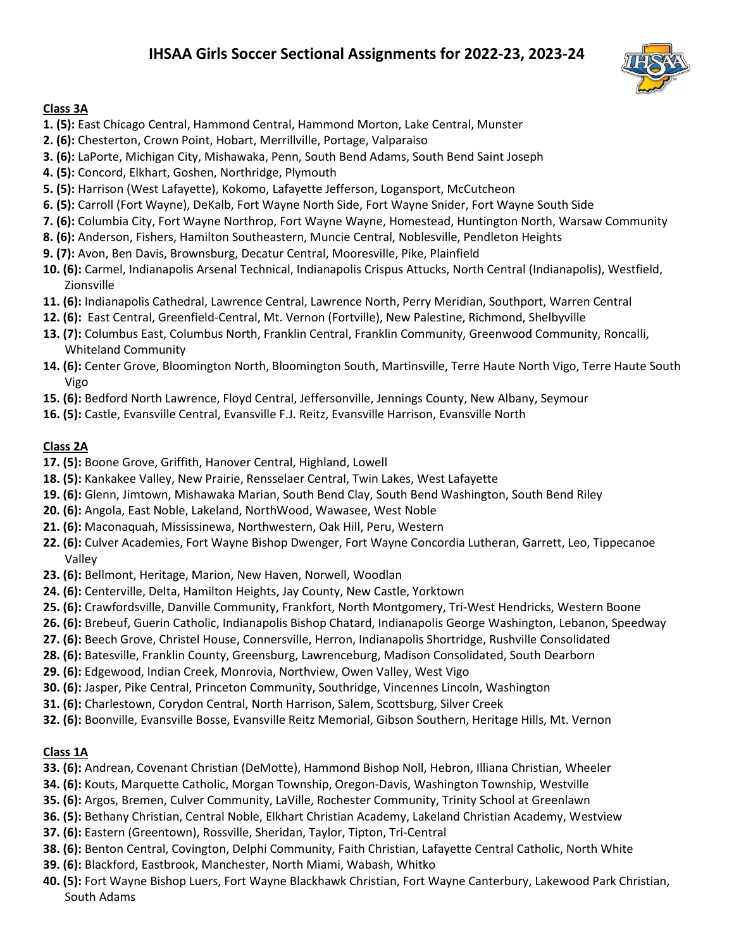## **IHSAA Girls Soccer Sectional Assignments for 2022-23, 2023-24**



## **Class 3A**

- **1. (5):** East Chicago Central, Hammond Central, Hammond Morton, Lake Central, Munster
- **2. (6):** Chesterton, Crown Point, Hobart, Merrillville, Portage, Valparaiso
- **3. (6):** LaPorte, Michigan City, Mishawaka, Penn, South Bend Adams, South Bend Saint Joseph
- **4. (5):** Concord, Elkhart, Goshen, Northridge, Plymouth
- **5. (5):** Harrison (West Lafayette), Kokomo, Lafayette Jefferson, Logansport, McCutcheon
- **6. (5):** Carroll (Fort Wayne), DeKalb, Fort Wayne North Side, Fort Wayne Snider, Fort Wayne South Side
- **7. (6):** Columbia City, Fort Wayne Northrop, Fort Wayne Wayne, Homestead, Huntington North, Warsaw Community
- **8. (6):** Anderson, Fishers, Hamilton Southeastern, Muncie Central, Noblesville, Pendleton Heights
- **9. (7):** Avon, Ben Davis, Brownsburg, Decatur Central, Mooresville, Pike, Plainfield
- **10. (6):** Carmel, Indianapolis Arsenal Technical, Indianapolis Crispus Attucks, North Central (Indianapolis), Westfield, Zionsville
- **11. (6):** Indianapolis Cathedral, Lawrence Central, Lawrence North, Perry Meridian, Southport, Warren Central
- **12. (6):** East Central, Greenfield-Central, Mt. Vernon (Fortville), New Palestine, Richmond, Shelbyville
- **13. (7):** Columbus East, Columbus North, Franklin Central, Franklin Community, Greenwood Community, Roncalli, Whiteland Community
- **14. (6):** Center Grove, Bloomington North, Bloomington South, Martinsville, Terre Haute North Vigo, Terre Haute South Vigo
- **15. (6):** Bedford North Lawrence, Floyd Central, Jeffersonville, Jennings County, New Albany, Seymour
- **16. (5):** Castle, Evansville Central, Evansville F.J. Reitz, Evansville Harrison, Evansville North

## **Class 2A**

- **17. (5):** Boone Grove, Griffith, Hanover Central, Highland, Lowell
- **18. (5):** Kankakee Valley, New Prairie, Rensselaer Central, Twin Lakes, West Lafayette
- **19. (6):** Glenn, Jimtown, Mishawaka Marian, South Bend Clay, South Bend Washington, South Bend Riley
- **20. (6):** Angola, East Noble, Lakeland, NorthWood, Wawasee, West Noble
- **21. (6):** Maconaquah, Mississinewa, Northwestern, Oak Hill, Peru, Western
- **22. (6):** Culver Academies, Fort Wayne Bishop Dwenger, Fort Wayne Concordia Lutheran, Garrett, Leo, Tippecanoe Valley
- **23. (6):** Bellmont, Heritage, Marion, New Haven, Norwell, Woodlan
- **24. (6):** Centerville, Delta, Hamilton Heights, Jay County, New Castle, Yorktown
- **25. (6):** Crawfordsville, Danville Community, Frankfort, North Montgomery, Tri-West Hendricks, Western Boone
- **26. (6):** Brebeuf, Guerin Catholic, Indianapolis Bishop Chatard, Indianapolis George Washington, Lebanon, Speedway
- **27. (6):** Beech Grove, Christel House, Connersville, Herron, Indianapolis Shortridge, Rushville Consolidated
- **28. (6):** Batesville, Franklin County, Greensburg, Lawrenceburg, Madison Consolidated, South Dearborn
- **29. (6):** Edgewood, Indian Creek, Monrovia, Northview, Owen Valley, West Vigo
- **30. (6):** Jasper, Pike Central, Princeton Community, Southridge, Vincennes Lincoln, Washington
- **31. (6):** Charlestown, Corydon Central, North Harrison, Salem, Scottsburg, Silver Creek
- **32. (6):** Boonville, Evansville Bosse, Evansville Reitz Memorial, Gibson Southern, Heritage Hills, Mt. Vernon

## **Class 1A**

- **33. (6):** Andrean, Covenant Christian (DeMotte), Hammond Bishop Noll, Hebron, Illiana Christian, Wheeler
- **34. (6):** Kouts, Marquette Catholic, Morgan Township, Oregon-Davis, Washington Township, Westville
- **35. (6):** Argos, Bremen, Culver Community, LaVille, Rochester Community, Trinity School at Greenlawn
- **36. (5):** Bethany Christian, Central Noble, Elkhart Christian Academy, Lakeland Christian Academy, Westview
- **37. (6):** Eastern (Greentown), Rossville, Sheridan, Taylor, Tipton, Tri-Central
- **38. (6):** Benton Central, Covington, Delphi Community, Faith Christian, Lafayette Central Catholic, North White
- **39. (6):** Blackford, Eastbrook, Manchester, North Miami, Wabash, Whitko
- **40. (5):** Fort Wayne Bishop Luers, Fort Wayne Blackhawk Christian, Fort Wayne Canterbury, Lakewood Park Christian, South Adams